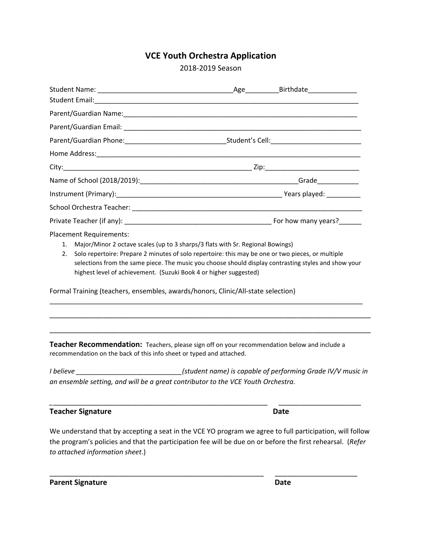## **VCE Youth Orchestra Application**

2018-2019 Season

|  | <b>Placement Requirements:</b>                                                                       |  |  |
|--|------------------------------------------------------------------------------------------------------|--|--|
|  | 1. Major/Minor 2 octave scales (up to 3 sharps/3 flats with Sr. Regional Bowings)                    |  |  |
|  | 2. Solo repertoire: Prepare 2 minutes of solo repertoire: this may be one or two pieces, or multiple |  |  |
|  | selections from the same piece. The music you choose should display contrasting styles and show your |  |  |

Formal Training (teachers, ensembles, awards/honors, Clinic/All-state selection)

highest level of achievement. (Suzuki Book 4 or higher suggested)

**Teacher Recommendation:** Teachers, please sign off on your recommendation below and include <sup>a</sup> recommendation on the back of this info sheet or typed and attached.

*I believe \_\_\_\_\_\_\_\_\_\_\_\_\_\_\_\_\_\_\_\_\_\_\_\_\_\_\_\_(student name) is capable of performing Grade IV/V music in an ensemble setting, and will be a great contributor to the VCE Youth Orchestra.*

*\_*\_\_\_\_\_\_\_\_\_\_\_\_\_\_\_\_\_\_\_\_\_\_\_\_\_\_\_\_\_\_\_\_\_\_\_\_\_\_\_\_\_\_\_\_\_\_\_\_\_\_\_\_ \_\_\_\_\_\_\_\_\_\_\_\_\_\_\_\_\_\_\_\_

\_\_\_\_\_\_\_\_\_\_\_\_\_\_\_\_\_\_\_\_\_\_\_\_\_\_\_\_\_\_\_\_\_\_\_\_\_\_\_\_\_\_\_\_\_\_\_\_\_\_\_\_\_\_\_\_\_\_\_\_\_\_\_\_\_\_\_\_\_\_\_\_\_\_\_\_\_\_\_\_\_\_\_

\_\_\_\_\_\_\_\_\_\_\_\_\_\_\_\_\_\_\_\_\_\_\_\_\_\_\_\_\_\_\_\_\_\_\_\_\_\_\_\_\_\_\_\_\_\_\_\_\_\_\_\_\_\_\_\_\_\_\_\_\_\_\_\_\_\_\_\_\_\_\_\_\_\_\_\_\_\_

\_\_\_\_\_\_\_\_\_\_\_\_\_\_\_\_\_\_\_\_\_\_\_\_\_\_\_\_\_\_\_\_\_\_\_\_\_\_\_\_\_\_\_\_\_\_\_\_\_\_\_\_\_\_\_\_\_\_\_\_\_\_\_\_\_\_\_\_\_\_\_\_\_\_\_\_\_\_

## **Teacher Signature Date**

We understand that by accepting a seat in the VCE YO program we agree to full participation, will follow the program's policies and that the participation fee will be due on or before the first rehearsal. (*Refer to attached information sheet*.)

\_\_\_\_\_\_\_\_\_\_\_\_\_\_\_\_\_\_\_\_\_\_\_\_\_\_\_\_\_\_\_\_\_\_\_\_\_\_\_\_\_\_\_\_\_\_\_\_\_\_\_\_ \_\_\_\_\_\_\_\_\_\_\_\_\_\_\_\_\_\_\_\_